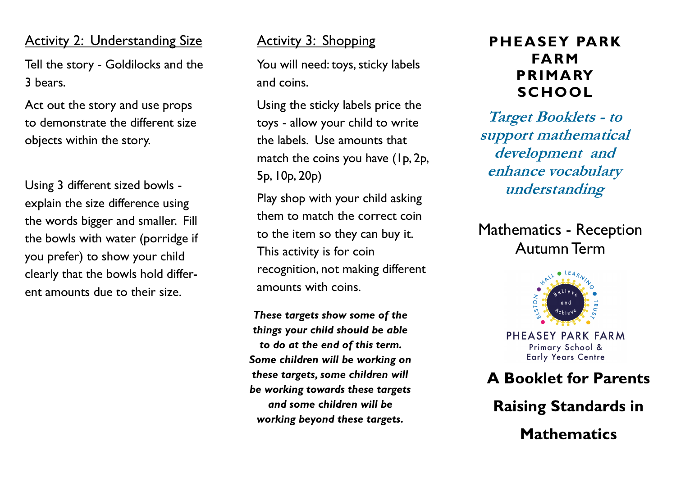#### **Activity 2: Understanding Size**

Tell the story - Goldilocks and the 3 bears.

Act out the story and use props to demonstrate the different size objects within the story.

Using 3 different sized bowls explain the size difference using the words bigger and smaller. Fill the bowls with water (porridge if you prefer) to show your child clearly that the bowls hold different amounts due to their size.

#### Activity 3: Shopping

You will need: toys, sticky labels and coins.

Using the sticky labels price the toys - allow your child to write the labels. Use amounts that match the coins you have (1p, 2p, 5p, 10p, 20p)

Play shop with your child asking them to match the correct coin to the item so they can buy it. This activity is for coin recognition, not making different amounts with coins.

*These targets show some of the things your child should be able to do at the end of this term. Some children will be working on these targets, some children will be working towards these targets and some children will be working beyond these targets.*

### **PHEASEY PARK FARM PRIMARY SCHOOL**

**Target Booklets - to support mathematical development and enhance vocabulary understanding**

Mathematics - Reception Autumn Term



PHEASEY PARK FARM Primary School & **Early Years Centre** 

### **A Booklet for Parents**

**Raising Standards in Mathematics**